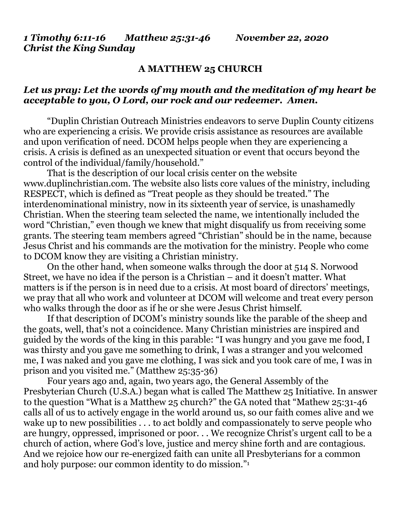*1 Timothy 6:11-16 Matthew 25:31-46 November 22, 2020 Christ the King Sunday*

## **A MATTHEW 25 CHURCH**

## *Let us pray: Let the words of my mouth and the meditation of my heart be acceptable to you, O Lord, our rock and our redeemer. Amen.*

"Duplin Christian Outreach Ministries endeavors to serve Duplin County citizens who are experiencing a crisis. We provide crisis assistance as resources are available and upon verification of need. DCOM helps people when they are experiencing a crisis. A crisis is defined as an unexpected situation or event that occurs beyond the control of the individual/family/household."

That is the description of our local crisis center on the website [www.duplinchristian.com.](http://www.duplinchristian.com/) The website also lists core values of the ministry, including RESPECT, which is defined as "Treat people as they should be treated." The interdenominational ministry, now in its sixteenth year of service, is unashamedly Christian. When the steering team selected the name, we intentionally included the word "Christian," even though we knew that might disqualify us from receiving some grants. The steering team members agreed "Christian" should be in the name, because Jesus Christ and his commands are the motivation for the ministry. People who come to DCOM know they are visiting a Christian ministry.

On the other hand, when someone walks through the door at 514 S. Norwood Street, we have no idea if the person is a Christian – and it doesn't matter. What matters is if the person is in need due to a crisis. At most board of directors' meetings, we pray that all who work and volunteer at DCOM will welcome and treat every person who walks through the door as if he or she were Jesus Christ himself.

If that description of DCOM's ministry sounds like the parable of the sheep and the goats, well, that's not a coincidence. Many Christian ministries are inspired and guided by the words of the king in this parable: "I was hungry and you gave me food, I was thirsty and you gave me something to drink, I was a stranger and you welcomed me, I was naked and you gave me clothing, I was sick and you took care of me, I was in prison and you visited me." (Matthew 25:35-36)

Four years ago and, again, two years ago, the General Assembly of the Presbyterian Church (U.S.A.) began what is called The Matthew 25 Initiative. In answer to the question "What is a Matthew 25 church?" the GA noted that "Mathew 25:31-46 calls all of us to actively engage in the world around us, so our faith comes alive and we wake up to new possibilities . . . to act boldly and compassionately to serve people who are hungry, oppressed, imprisoned or poor. . . We recognize Christ's urgent call to be a church of action, where God's love, justice and mercy shine forth and are contagious. And we rejoice how our re-energized faith can unite all Presbyterians for a common and holy purpose: our common identity to do mission."<sup>1</sup>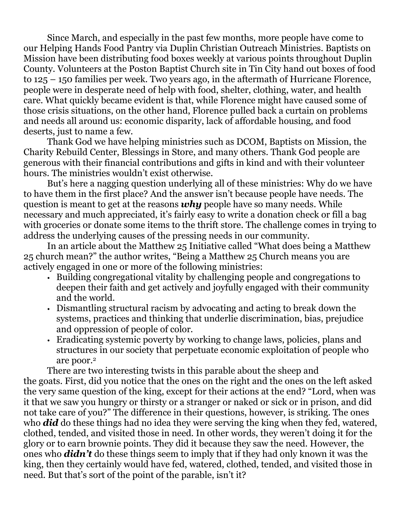Since March, and especially in the past few months, more people have come to our Helping Hands Food Pantry via Duplin Christian Outreach Ministries. Baptists on Mission have been distributing food boxes weekly at various points throughout Duplin County. Volunteers at the Poston Baptist Church site in Tin City hand out boxes of food to 125 – 150 families per week. Two years ago, in the aftermath of Hurricane Florence, people were in desperate need of help with food, shelter, clothing, water, and health care. What quickly became evident is that, while Florence might have caused some of those crisis situations, on the other hand, Florence pulled back a curtain on problems and needs all around us: economic disparity, lack of affordable housing, and food deserts, just to name a few.

Thank God we have helping ministries such as DCOM, Baptists on Mission, the Charity Rebuild Center, Blessings in Store, and many others. Thank God people are generous with their financial contributions and gifts in kind and with their volunteer hours. The ministries wouldn't exist otherwise.

But's here a nagging question underlying all of these ministries: Why do we have to have them in the first place? And the answer isn't because people have needs. The question is meant to get at the reasons *why* people have so many needs. While necessary and much appreciated, it's fairly easy to write a donation check or fill a bag with groceries or donate some items to the thrift store. The challenge comes in trying to address the underlying causes of the pressing needs in our community.

In an article about the Matthew 25 Initiative called "What does being a Matthew 25 church mean?" the author writes, "Being a Matthew 25 Church means you are actively engaged in one or more of the following ministries:

- Building congregational vitality by challenging people and congregations to deepen their faith and get actively and joyfully engaged with their community and the world.
- Dismantling structural racism by advocating and acting to break down the systems, practices and thinking that underlie discrimination, bias, prejudice and oppression of people of color.
- Eradicating systemic poverty by working to change laws, policies, plans and structures in our society that perpetuate economic exploitation of people who are poor.<sup>2</sup>

There are two interesting twists in this parable about the sheep and the goats. First, did you notice that the ones on the right and the ones on the left asked the very same question of the king, except for their actions at the end? "Lord, when was it that we saw you hungry or thirsty or a stranger or naked or sick or in prison, and did not take care of you?" The difference in their questions, however, is striking. The ones who *did* do these things had no idea they were serving the king when they fed, watered, clothed, tended, and visited those in need. In other words, they weren't doing it for the glory or to earn brownie points. They did it because they saw the need. However, the ones who *didn't* do these things seem to imply that if they had only known it was the king, then they certainly would have fed, watered, clothed, tended, and visited those in need. But that's sort of the point of the parable, isn't it?